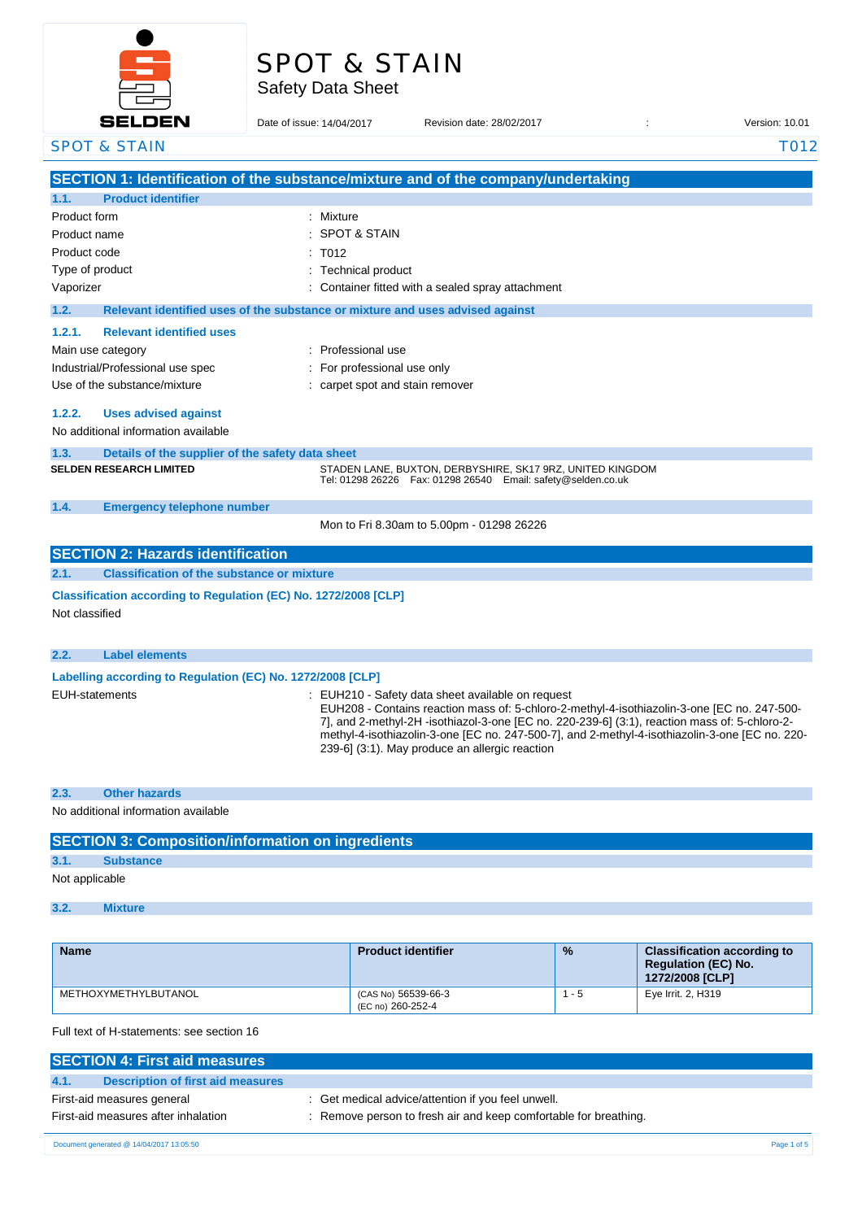# SPOT & STAIN

Safety Data Sheet

| $\overline{\phantom{0}}$                                        |                                                                               |                                                                                                                                                                                                 |                |
|-----------------------------------------------------------------|-------------------------------------------------------------------------------|-------------------------------------------------------------------------------------------------------------------------------------------------------------------------------------------------|----------------|
| <b>SELDEN</b>                                                   | Date of issue: 14/04/2017                                                     | Revision date: 28/02/2017                                                                                                                                                                       | Version: 10.01 |
| <b>SPOT &amp; STAIN</b>                                         |                                                                               |                                                                                                                                                                                                 | <b>T012</b>    |
|                                                                 |                                                                               | SECTION 1: Identification of the substance/mixture and of the company/undertaking                                                                                                               |                |
| 1.1.<br><b>Product identifier</b>                               |                                                                               |                                                                                                                                                                                                 |                |
| Product form                                                    | : Mixture                                                                     |                                                                                                                                                                                                 |                |
| Product name                                                    | <b>SPOT &amp; STAIN</b>                                                       |                                                                                                                                                                                                 |                |
| Product code                                                    | T012                                                                          |                                                                                                                                                                                                 |                |
| Type of product                                                 | Technical product                                                             |                                                                                                                                                                                                 |                |
| Vaporizer                                                       |                                                                               | Container fitted with a sealed spray attachment                                                                                                                                                 |                |
| 1.2.                                                            | Relevant identified uses of the substance or mixture and uses advised against |                                                                                                                                                                                                 |                |
| 1.2.1.<br><b>Relevant identified uses</b>                       |                                                                               |                                                                                                                                                                                                 |                |
| Main use category                                               | : Professional use                                                            |                                                                                                                                                                                                 |                |
| Industrial/Professional use spec                                | : For professional use only                                                   |                                                                                                                                                                                                 |                |
| Use of the substance/mixture                                    | : carpet spot and stain remover                                               |                                                                                                                                                                                                 |                |
| 1.2.2.<br><b>Uses advised against</b>                           |                                                                               |                                                                                                                                                                                                 |                |
| No additional information available                             |                                                                               |                                                                                                                                                                                                 |                |
| 1.3.<br>Details of the supplier of the safety data sheet        |                                                                               |                                                                                                                                                                                                 |                |
| <b>SELDEN RESEARCH LIMITED</b>                                  |                                                                               | STADEN LANE, BUXTON, DERBYSHIRE, SK17 9RZ, UNITED KINGDOM                                                                                                                                       |                |
|                                                                 |                                                                               | Tel: 01298 26226    Fax: 01298 26540    Email: safety@selden.co.uk                                                                                                                              |                |
| 1.4.<br><b>Emergency telephone number</b>                       |                                                                               |                                                                                                                                                                                                 |                |
|                                                                 |                                                                               | Mon to Fri 8.30am to 5.00pm - 01298 26226                                                                                                                                                       |                |
| <b>SECTION 2: Hazards identification</b>                        |                                                                               |                                                                                                                                                                                                 |                |
| 2.1.<br><b>Classification of the substance or mixture</b>       |                                                                               |                                                                                                                                                                                                 |                |
| Classification according to Regulation (EC) No. 1272/2008 [CLP] |                                                                               |                                                                                                                                                                                                 |                |
| Not classified                                                  |                                                                               |                                                                                                                                                                                                 |                |
|                                                                 |                                                                               |                                                                                                                                                                                                 |                |
| 2.2.<br><b>Label elements</b>                                   |                                                                               |                                                                                                                                                                                                 |                |
| Labelling according to Regulation (EC) No. 1272/2008 [CLP]      |                                                                               |                                                                                                                                                                                                 |                |
| <b>EUH-statements</b>                                           |                                                                               | : EUH210 - Safety data sheet available on request                                                                                                                                               |                |
|                                                                 |                                                                               | EUH208 - Contains reaction mass of: 5-chloro-2-methyl-4-isothiazolin-3-one [EC no. 247-500-                                                                                                     |                |
|                                                                 |                                                                               | 7], and 2-methyl-2H -isothiazol-3-one [EC no. 220-239-6] (3:1), reaction mass of: 5-chloro-2-<br>methyl-4-isothiazolin-3-one [EC no. 247-500-7], and 2-methyl-4-isothiazolin-3-one [EC no. 220- |                |
|                                                                 |                                                                               | 239-6] (3:1). May produce an allergic reaction                                                                                                                                                  |                |
|                                                                 |                                                                               |                                                                                                                                                                                                 |                |
| <b>Other hazards</b><br>2.3.                                    |                                                                               |                                                                                                                                                                                                 |                |
| No additional information available                             |                                                                               |                                                                                                                                                                                                 |                |
|                                                                 |                                                                               |                                                                                                                                                                                                 |                |
| <b>SECTION 3: Composition/information on ingredients</b>        |                                                                               |                                                                                                                                                                                                 |                |
| 3.1.<br><b>Substance</b><br>Not applicable                      |                                                                               |                                                                                                                                                                                                 |                |
|                                                                 |                                                                               |                                                                                                                                                                                                 |                |
| 3.2.<br><b>Mixture</b>                                          |                                                                               |                                                                                                                                                                                                 |                |

| <b>Name</b>          | <b>Product identifier</b>                | $\frac{9}{6}$ | <b>Classification according to</b><br><b>Regulation (EC) No.</b><br>1272/2008 [CLP] |
|----------------------|------------------------------------------|---------------|-------------------------------------------------------------------------------------|
| METHOXYMETHYLBUTANOL | (CAS No) 56539-66-3<br>(EC no) 260-252-4 | - 5           | Eye Irrit. 2, H319                                                                  |

Full text of H-statements: see section 16

| <b>SECTION 4: First aid measures</b>      |                                                                  |
|-------------------------------------------|------------------------------------------------------------------|
| 4.1.<br>Description of first aid measures |                                                                  |
| First-aid measures general                | : Get medical advice/attention if you feel unwell.               |
| First-aid measures after inhalation       | : Remove person to fresh air and keep comfortable for breathing. |

Document generated @ 14/04/2017 13:05:50 Page 1 of 5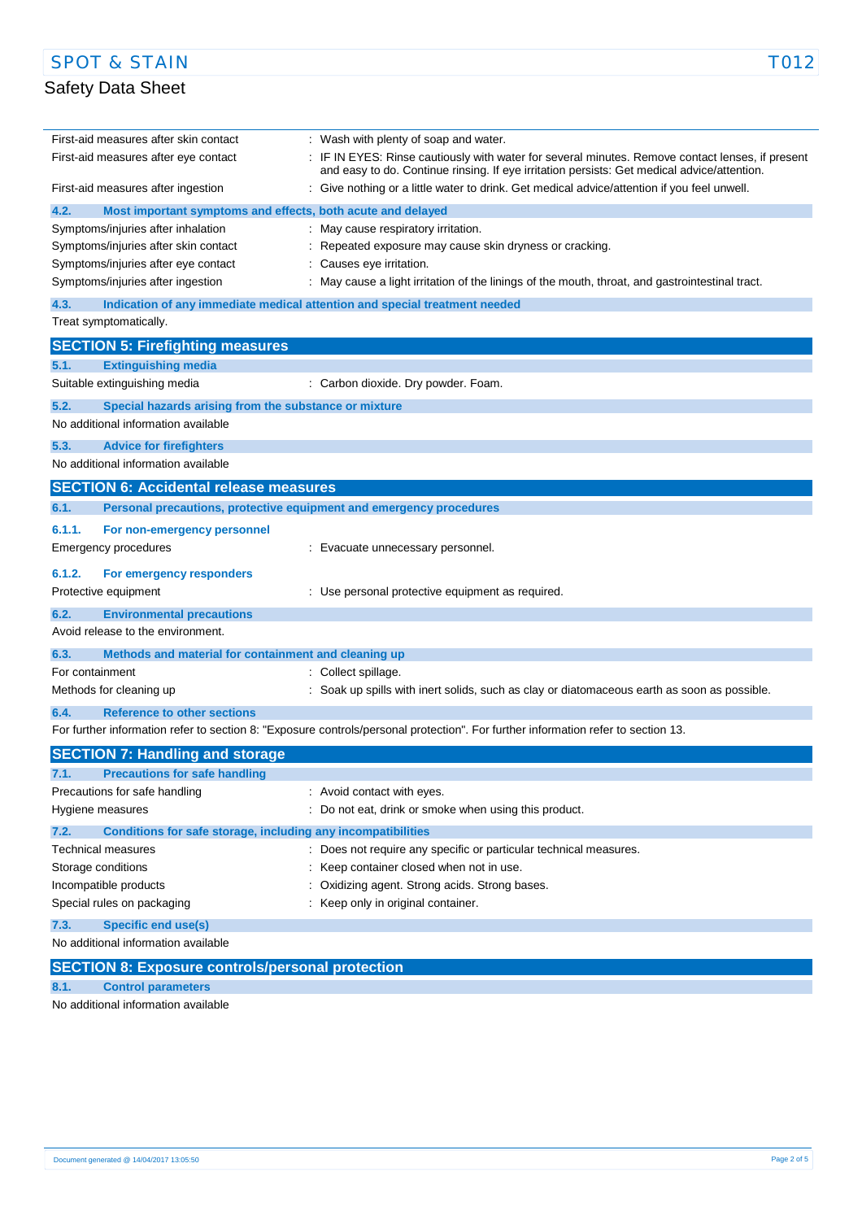i.

| First-aid measures after skin contact                                              | Wash with plenty of soap and water.                                                                                                                                                           |
|------------------------------------------------------------------------------------|-----------------------------------------------------------------------------------------------------------------------------------------------------------------------------------------------|
| First-aid measures after eye contact                                               | IF IN EYES: Rinse cautiously with water for several minutes. Remove contact lenses, if present<br>and easy to do. Continue rinsing. If eye irritation persists: Get medical advice/attention. |
| First-aid measures after ingestion                                                 | Give nothing or a little water to drink. Get medical advice/attention if you feel unwell.                                                                                                     |
| 4.2.<br>Most important symptoms and effects, both acute and delayed                |                                                                                                                                                                                               |
| Symptoms/injuries after inhalation                                                 | May cause respiratory irritation.                                                                                                                                                             |
| Symptoms/injuries after skin contact                                               | Repeated exposure may cause skin dryness or cracking.                                                                                                                                         |
| Symptoms/injuries after eye contact                                                | Causes eye irritation.                                                                                                                                                                        |
| Symptoms/injuries after ingestion                                                  | May cause a light irritation of the linings of the mouth, throat, and gastrointestinal tract.                                                                                                 |
| 4.3.<br>Indication of any immediate medical attention and special treatment needed |                                                                                                                                                                                               |
| Treat symptomatically.                                                             |                                                                                                                                                                                               |
| <b>SECTION 5: Firefighting measures</b>                                            |                                                                                                                                                                                               |
| 5.1.<br><b>Extinguishing media</b>                                                 |                                                                                                                                                                                               |
| Suitable extinguishing media                                                       | : Carbon dioxide. Dry powder. Foam.                                                                                                                                                           |
| 5.2.<br>Special hazards arising from the substance or mixture                      |                                                                                                                                                                                               |
| No additional information available                                                |                                                                                                                                                                                               |
| 5.3.<br><b>Advice for firefighters</b>                                             |                                                                                                                                                                                               |
| No additional information available                                                |                                                                                                                                                                                               |
| <b>SECTION 6: Accidental release measures</b>                                      |                                                                                                                                                                                               |
| Personal precautions, protective equipment and emergency procedures<br>6.1.        |                                                                                                                                                                                               |
| 6.1.1.<br>For non-emergency personnel                                              |                                                                                                                                                                                               |
| Emergency procedures                                                               | Evacuate unnecessary personnel.                                                                                                                                                               |
| 6.1.2.<br>For emergency responders                                                 |                                                                                                                                                                                               |
| Protective equipment                                                               | Use personal protective equipment as required.                                                                                                                                                |
| 6.2.<br><b>Environmental precautions</b>                                           |                                                                                                                                                                                               |
| Avoid release to the environment.                                                  |                                                                                                                                                                                               |
| 6.3.<br>Methods and material for containment and cleaning up                       |                                                                                                                                                                                               |
| For containment                                                                    | Collect spillage.                                                                                                                                                                             |
| Methods for cleaning up                                                            | Soak up spills with inert solids, such as clay or diatomaceous earth as soon as possible.                                                                                                     |
| <b>Reference to other sections</b><br>6.4.                                         |                                                                                                                                                                                               |
|                                                                                    | For further information refer to section 8: "Exposure controls/personal protection". For further information refer to section 13.                                                             |
| <b>SECTION 7: Handling and storage</b>                                             |                                                                                                                                                                                               |
| <b>Precautions for safe handling</b>                                               |                                                                                                                                                                                               |
| Precautions for safe handling                                                      | : Avoid contact with eyes.                                                                                                                                                                    |
| Hygiene measures                                                                   | Do not eat, drink or smoke when using this product.                                                                                                                                           |
| 7.2.<br>Conditions for safe storage, including any incompatibilities               |                                                                                                                                                                                               |
| Technical measures                                                                 | : Does not require any specific or particular technical measures.                                                                                                                             |
| Storage conditions                                                                 | Keep container closed when not in use.                                                                                                                                                        |
| Incompatible products                                                              | Oxidizing agent. Strong acids. Strong bases.                                                                                                                                                  |
| Special rules on packaging                                                         | Keep only in original container.                                                                                                                                                              |
| 7.3.<br><b>Specific end use(s)</b>                                                 |                                                                                                                                                                                               |
| No additional information available                                                |                                                                                                                                                                                               |
| <b>SECTION 8: Exposure controls/personal protection</b>                            |                                                                                                                                                                                               |

**8.1. Control parameters**

No additional information available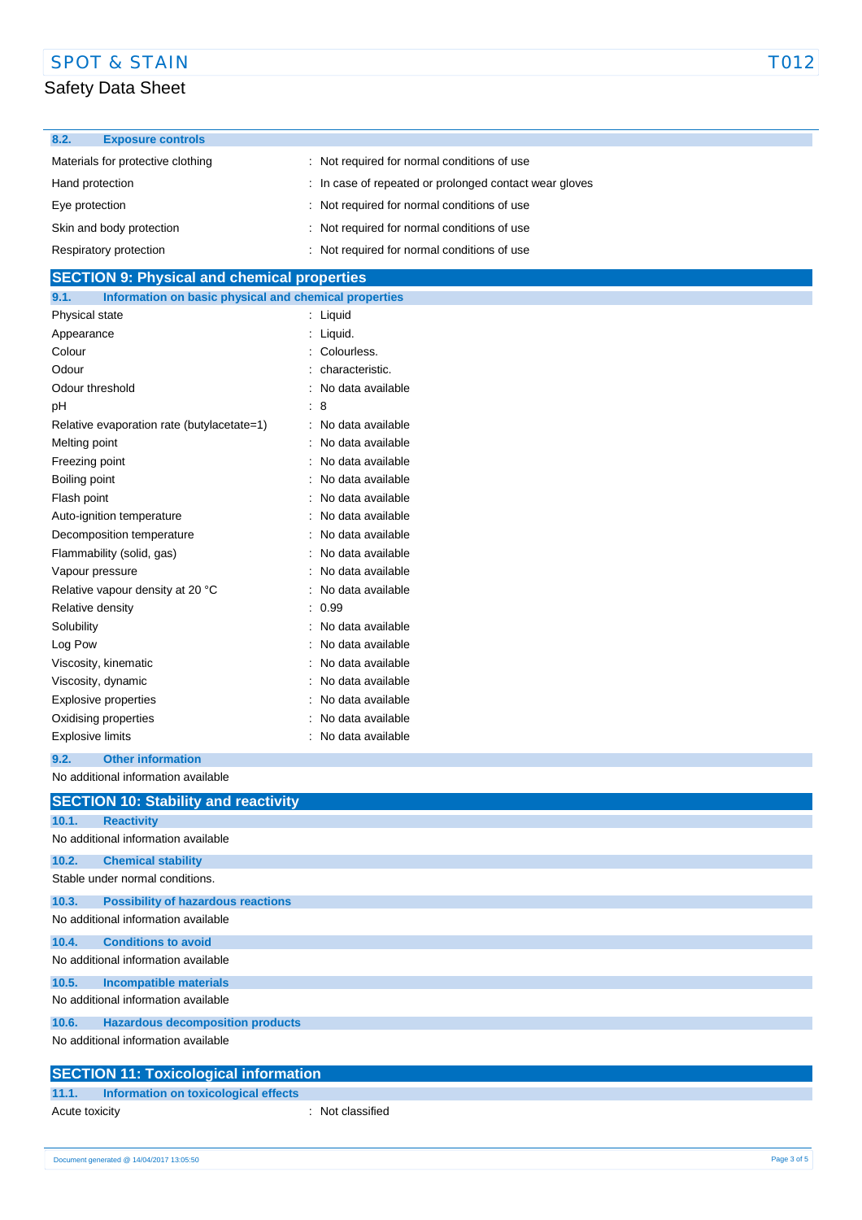### Safety Data Sheet

| 8.2.            | <b>Exposure controls</b>          |                                                        |
|-----------------|-----------------------------------|--------------------------------------------------------|
|                 | Materials for protective clothing | : Not required for normal conditions of use            |
| Hand protection |                                   | : In case of repeated or prolonged contact wear gloves |
| Eye protection  |                                   | : Not required for normal conditions of use            |
|                 | Skin and body protection          | : Not required for normal conditions of use            |
|                 | Respiratory protection            | Not required for normal conditions of use              |

### **SECTION 9: Physical and chemical properties**

| 9.1.                        | Information on basic physical and chemical properties |                      |                   |
|-----------------------------|-------------------------------------------------------|----------------------|-------------------|
| Physical state              |                                                       | $\ddot{\phantom{a}}$ | Liquid            |
| Appearance                  |                                                       |                      | Liquid.           |
| Colour                      |                                                       |                      | Colourless.       |
| Odour                       |                                                       |                      | characteristic.   |
| Odour threshold             |                                                       |                      | No data available |
| рH                          |                                                       |                      | 8                 |
|                             | Relative evaporation rate (butylacetate=1)            |                      | No data available |
| Melting point               |                                                       |                      | No data available |
| Freezing point              |                                                       |                      | No data available |
| Boiling point               |                                                       |                      | No data available |
| Flash point                 |                                                       |                      | No data available |
|                             | Auto-ignition temperature                             |                      | No data available |
|                             | Decomposition temperature                             |                      | No data available |
|                             | Flammability (solid, gas)                             |                      | No data available |
| Vapour pressure             |                                                       |                      | No data available |
|                             | Relative vapour density at 20 °C                      |                      | No data available |
| Relative density            |                                                       |                      | 0.99              |
| Solubility                  |                                                       |                      | No data available |
| Log Pow                     |                                                       |                      | No data available |
|                             | Viscosity, kinematic                                  |                      | No data available |
|                             | Viscosity, dynamic                                    |                      | No data available |
| <b>Explosive properties</b> |                                                       |                      | No data available |
|                             | Oxidising properties                                  |                      | No data available |
| <b>Explosive limits</b>     |                                                       |                      | No data available |
| 9.2.                        | <b>Other information</b>                              |                      |                   |

No additional information available

|       | <b>SECTION 10: Stability and reactivity</b>  |
|-------|----------------------------------------------|
| 10.1. | <b>Reactivity</b>                            |
|       | No additional information available          |
| 10.2. | <b>Chemical stability</b>                    |
|       | Stable under normal conditions.              |
| 10.3. | <b>Possibility of hazardous reactions</b>    |
|       | No additional information available          |
| 10.4. | <b>Conditions to avoid</b>                   |
|       | No additional information available          |
| 10.5. | <b>Incompatible materials</b>                |
|       | No additional information available          |
| 10.6. | <b>Hazardous decomposition products</b>      |
|       | No additional information available          |
|       | <b>SECTION 11: Toxicological information</b> |

### **11.1. Information on toxicological effects**

Acute toxicity **in the case of the case of the case of the case of the case of the case of the case of the case of the case of the case of the case of the case of the case of the case of the case of the case of the case of**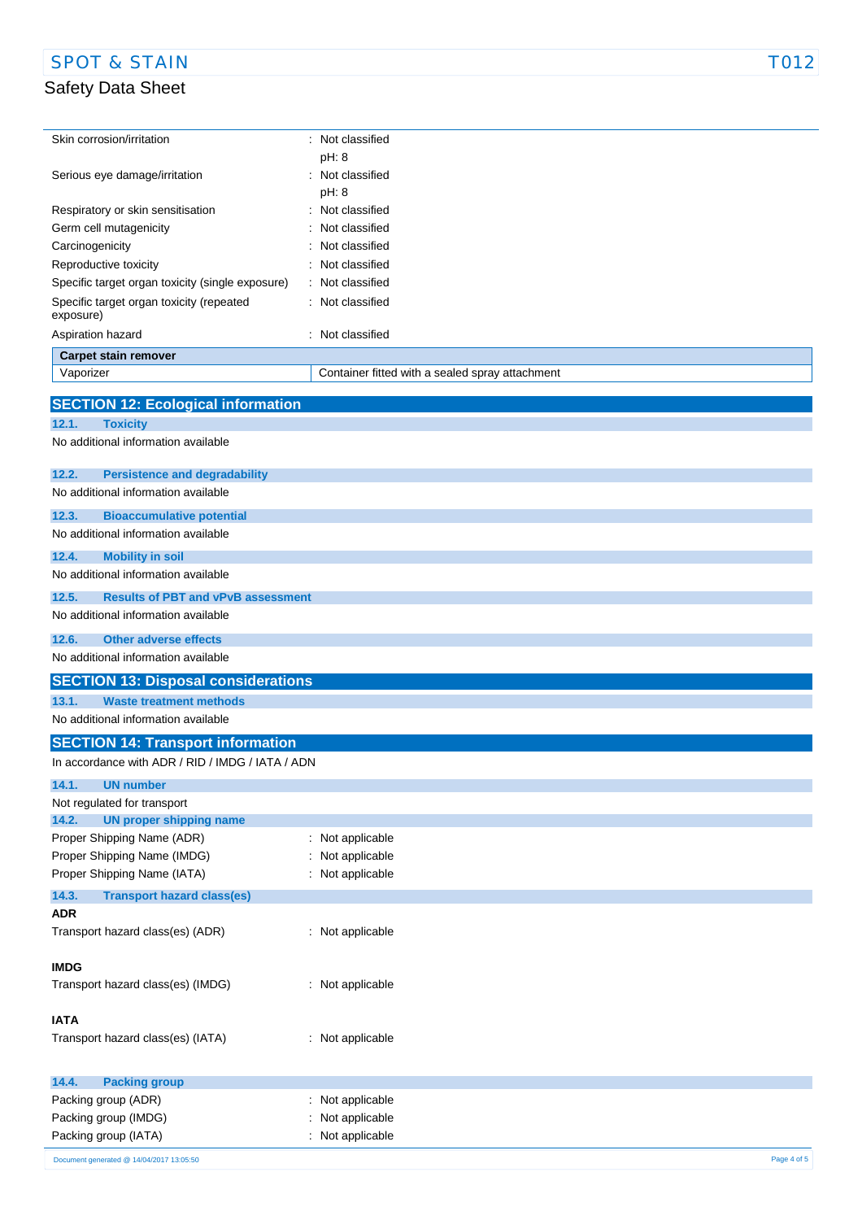## Safety Data Sheet

 $\overline{\phantom{a}}$ 

| Skin corrosion/irritation           |                                                  | Not classified                                  |
|-------------------------------------|--------------------------------------------------|-------------------------------------------------|
|                                     |                                                  | pH: 8                                           |
| Serious eye damage/irritation       |                                                  | Not classified                                  |
|                                     |                                                  | pH: 8                                           |
| Respiratory or skin sensitisation   |                                                  | Not classified                                  |
| Germ cell mutagenicity              |                                                  | Not classified                                  |
| Carcinogenicity                     |                                                  | Not classified                                  |
| Reproductive toxicity               |                                                  | Not classified                                  |
|                                     | Specific target organ toxicity (single exposure) | Not classified<br>$\overline{\phantom{a}}$      |
| exposure)                           | Specific target organ toxicity (repeated         | Not classified                                  |
| Aspiration hazard                   |                                                  | Not classified                                  |
| <b>Carpet stain remover</b>         |                                                  |                                                 |
| Vaporizer                           |                                                  | Container fitted with a sealed spray attachment |
|                                     |                                                  |                                                 |
|                                     | <b>SECTION 12: Ecological information</b>        |                                                 |
| 12.1.<br><b>Toxicity</b>            |                                                  |                                                 |
| No additional information available |                                                  |                                                 |
| 12.2.                               | <b>Persistence and degradability</b>             |                                                 |
| No additional information available |                                                  |                                                 |
| 12.3.                               | <b>Bioaccumulative potential</b>                 |                                                 |
| No additional information available |                                                  |                                                 |
| 12.4.<br><b>Mobility in soil</b>    |                                                  |                                                 |
| No additional information available |                                                  |                                                 |
| 12.5.                               | <b>Results of PBT and vPvB assessment</b>        |                                                 |
| No additional information available |                                                  |                                                 |
| 12.6.                               | <b>Other adverse effects</b>                     |                                                 |
| No additional information available |                                                  |                                                 |
|                                     | <b>SECTION 13: Disposal considerations</b>       |                                                 |
| 13.1.                               | <b>Waste treatment methods</b>                   |                                                 |
| No additional information available |                                                  |                                                 |
|                                     | <b>SECTION 14: Transport information</b>         |                                                 |
|                                     | In accordance with ADR / RID / IMDG / IATA / ADN |                                                 |
| 14.1.<br><b>UN number</b>           |                                                  |                                                 |
|                                     |                                                  |                                                 |

| In accordance with ADR / RID / IMDG / IATA / ADN |                  |             |
|--------------------------------------------------|------------------|-------------|
| 14.1.<br><b>UN number</b>                        |                  |             |
| Not regulated for transport                      |                  |             |
| 14.2.<br><b>UN proper shipping name</b>          |                  |             |
| Proper Shipping Name (ADR)                       | : Not applicable |             |
| Proper Shipping Name (IMDG)                      | : Not applicable |             |
| Proper Shipping Name (IATA)                      | : Not applicable |             |
| 14.3.<br><b>Transport hazard class(es)</b>       |                  |             |
| <b>ADR</b>                                       |                  |             |
| Transport hazard class(es) (ADR)                 | : Not applicable |             |
| <b>IMDG</b>                                      |                  |             |
| Transport hazard class(es) (IMDG)                | : Not applicable |             |
| <b>IATA</b>                                      |                  |             |
| Transport hazard class(es) (IATA)                | : Not applicable |             |
|                                                  |                  |             |
| 14.4.<br><b>Packing group</b>                    |                  |             |
| Packing group (ADR)                              | : Not applicable |             |
| Packing group (IMDG)                             | : Not applicable |             |
| Packing group (IATA)                             | : Not applicable |             |
| Document generated @ 14/04/2017 13:05:50         |                  | Page 4 of 5 |